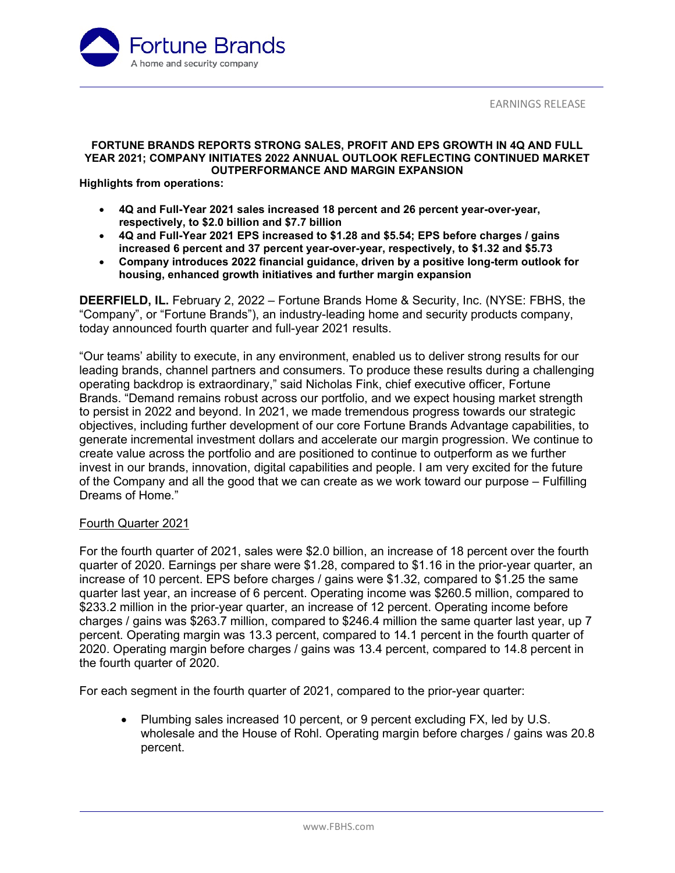

### **FORTUNE BRANDS REPORTS STRONG SALES, PROFIT AND EPS GROWTH IN 4Q AND FULL YEAR 2021; COMPANY INITIATES 2022 ANNUAL OUTLOOK REFLECTING CONTINUED MARKET OUTPERFORMANCE AND MARGIN EXPANSION**

**Highlights from operations:**

- **4Q and Full-Year 2021 sales increased 18 percent and 26 percent year-over-year, respectively, to \$2.0 billion and \$7.7 billion**
- **4Q and Full-Year 2021 EPS increased to \$1.28 and \$5.54; EPS before charges / gains increased 6 percent and 37 percent year-over-year, respectively, to \$1.32 and \$5.73**
- **Company introduces 2022 financial guidance, driven by a positive long-term outlook for housing, enhanced growth initiatives and further margin expansion**

**DEERFIELD, IL.** February 2, 2022 – Fortune Brands Home & Security, Inc. (NYSE: FBHS, the "Company", or "Fortune Brands"), an industry-leading home and security products company, today announced fourth quarter and full-year 2021 results.

"Our teams' ability to execute, in any environment, enabled us to deliver strong results for our leading brands, channel partners and consumers. To produce these results during a challenging operating backdrop is extraordinary," said Nicholas Fink, chief executive officer, Fortune Brands. "Demand remains robust across our portfolio, and we expect housing market strength to persist in 2022 and beyond. In 2021, we made tremendous progress towards our strategic objectives, including further development of our core Fortune Brands Advantage capabilities, to generate incremental investment dollars and accelerate our margin progression. We continue to create value across the portfolio and are positioned to continue to outperform as we further invest in our brands, innovation, digital capabilities and people. I am very excited for the future of the Company and all the good that we can create as we work toward our purpose – Fulfilling Dreams of Home."

## Fourth Quarter 2021

For the fourth quarter of 2021, sales were \$2.0 billion, an increase of 18 percent over the fourth quarter of 2020. Earnings per share were \$1.28, compared to \$1.16 in the prior-year quarter, an increase of 10 percent. EPS before charges / gains were \$1.32, compared to \$1.25 the same quarter last year, an increase of 6 percent. Operating income was \$260.5 million, compared to \$233.2 million in the prior-year quarter, an increase of 12 percent. Operating income before charges / gains was \$263.7 million, compared to \$246.4 million the same quarter last year, up 7 percent. Operating margin was 13.3 percent, compared to 14.1 percent in the fourth quarter of 2020. Operating margin before charges / gains was 13.4 percent, compared to 14.8 percent in the fourth quarter of 2020.

For each segment in the fourth quarter of 2021, compared to the prior-year quarter:

• Plumbing sales increased 10 percent, or 9 percent excluding FX, led by U.S. wholesale and the House of Rohl. Operating margin before charges / gains was 20.8 percent.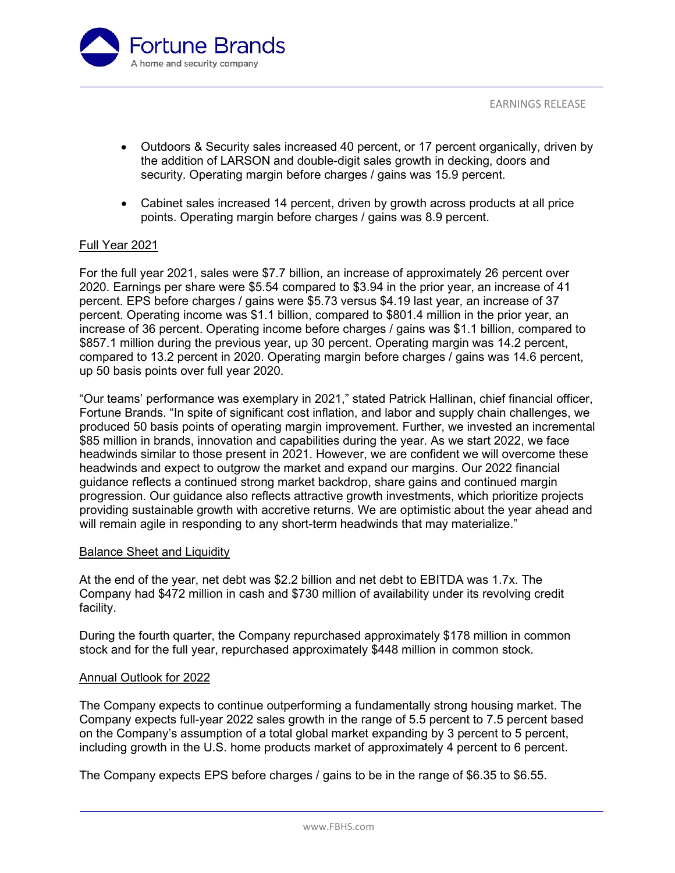

- Outdoors & Security sales increased 40 percent, or 17 percent organically, driven by the addition of LARSON and double-digit sales growth in decking, doors and security. Operating margin before charges / gains was 15.9 percent.
- Cabinet sales increased 14 percent, driven by growth across products at all price points. Operating margin before charges / gains was 8.9 percent.

## Full Year 2021

For the full year 2021, sales were \$7.7 billion, an increase of approximately 26 percent over 2020. Earnings per share were \$5.54 compared to \$3.94 in the prior year, an increase of 41 percent. EPS before charges / gains were \$5.73 versus \$4.19 last year, an increase of 37 percent. Operating income was \$1.1 billion, compared to \$801.4 million in the prior year, an increase of 36 percent. Operating income before charges / gains was \$1.1 billion, compared to \$857.1 million during the previous year, up 30 percent. Operating margin was 14.2 percent, compared to 13.2 percent in 2020. Operating margin before charges / gains was 14.6 percent, up 50 basis points over full year 2020.

"Our teams' performance was exemplary in 2021," stated Patrick Hallinan, chief financial officer, Fortune Brands. "In spite of significant cost inflation, and labor and supply chain challenges, we produced 50 basis points of operating margin improvement. Further, we invested an incremental \$85 million in brands, innovation and capabilities during the year. As we start 2022, we face headwinds similar to those present in 2021. However, we are confident we will overcome these headwinds and expect to outgrow the market and expand our margins. Our 2022 financial guidance reflects a continued strong market backdrop, share gains and continued margin progression. Our guidance also reflects attractive growth investments, which prioritize projects providing sustainable growth with accretive returns. We are optimistic about the year ahead and will remain agile in responding to any short-term headwinds that may materialize."

## Balance Sheet and Liquidity

At the end of the year, net debt was \$2.2 billion and net debt to EBITDA was 1.7x. The Company had \$472 million in cash and \$730 million of availability under its revolving credit facility.

During the fourth quarter, the Company repurchased approximately \$178 million in common stock and for the full year, repurchased approximately \$448 million in common stock.

## Annual Outlook for 2022

The Company expects to continue outperforming a fundamentally strong housing market. The Company expects full-year 2022 sales growth in the range of 5.5 percent to 7.5 percent based on the Company's assumption of a total global market expanding by 3 percent to 5 percent, including growth in the U.S. home products market of approximately 4 percent to 6 percent.

The Company expects EPS before charges / gains to be in the range of \$6.35 to \$6.55.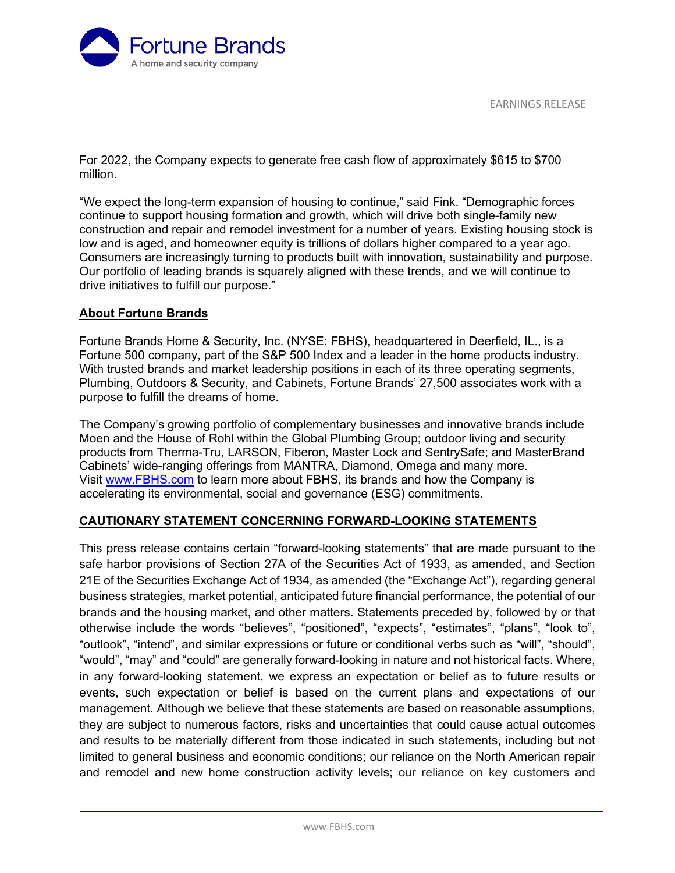

For 2022, the Company expects to generate free cash flow of approximately \$615 to \$700 million.

"We expect the long-term expansion of housing to continue," said Fink. "Demographic forces continue to support housing formation and growth, which will drive both single-family new construction and repair and remodel investment for a number of years. Existing housing stock is low and is aged, and homeowner equity is trillions of dollars higher compared to a year ago. Consumers are increasingly turning to products built with innovation, sustainability and purpose. Our portfolio of leading brands is squarely aligned with these trends, and we will continue to drive initiatives to fulfill our purpose."

## **About Fortune Brands**

Fortune Brands Home & Security, Inc. (NYSE: FBHS), headquartered in Deerfield, IL., is a Fortune 500 company, part of the S&P 500 Index and a leader in the home products industry. With trusted brands and market leadership positions in each of its three operating segments, Plumbing, Outdoors & Security, and Cabinets, Fortune Brands' 27,500 associates work with a purpose to fulfill the dreams of home.

The Company's growing portfolio of complementary businesses and innovative brands include Moen and the House of Rohl within the Global Plumbing Group; outdoor living and security products from Therma-Tru, LARSON, Fiberon, Master Lock and SentrySafe; and MasterBrand Cabinets' wide-ranging offerings from MANTRA, Diamond, Omega and many more. Visit [www.FBHS.com](http://www.fbhs.com/) to learn more about FBHS, its brands and how the Company is accelerating its environmental, social and governance (ESG) commitments.

## **CAUTIONARY STATEMENT CONCERNING FORWARD-LOOKING STATEMENTS**

This press release contains certain "forward-looking statements" that are made pursuant to the safe harbor provisions of Section 27A of the Securities Act of 1933, as amended, and Section 21E of the Securities Exchange Act of 1934, as amended (the "Exchange Act"), regarding general business strategies, market potential, anticipated future financial performance, the potential of our brands and the housing market, and other matters. Statements preceded by, followed by or that otherwise include the words "believes", "positioned", "expects", "estimates", "plans", "look to", "outlook", "intend", and similar expressions or future or conditional verbs such as "will", "should", "would", "may" and "could" are generally forward-looking in nature and not historical facts. Where, in any forward-looking statement, we express an expectation or belief as to future results or events, such expectation or belief is based on the current plans and expectations of our management. Although we believe that these statements are based on reasonable assumptions, they are subject to numerous factors, risks and uncertainties that could cause actual outcomes and results to be materially different from those indicated in such statements, including but not limited to general business and economic conditions; our reliance on the North American repair and remodel and new home construction activity levels; our reliance on key customers and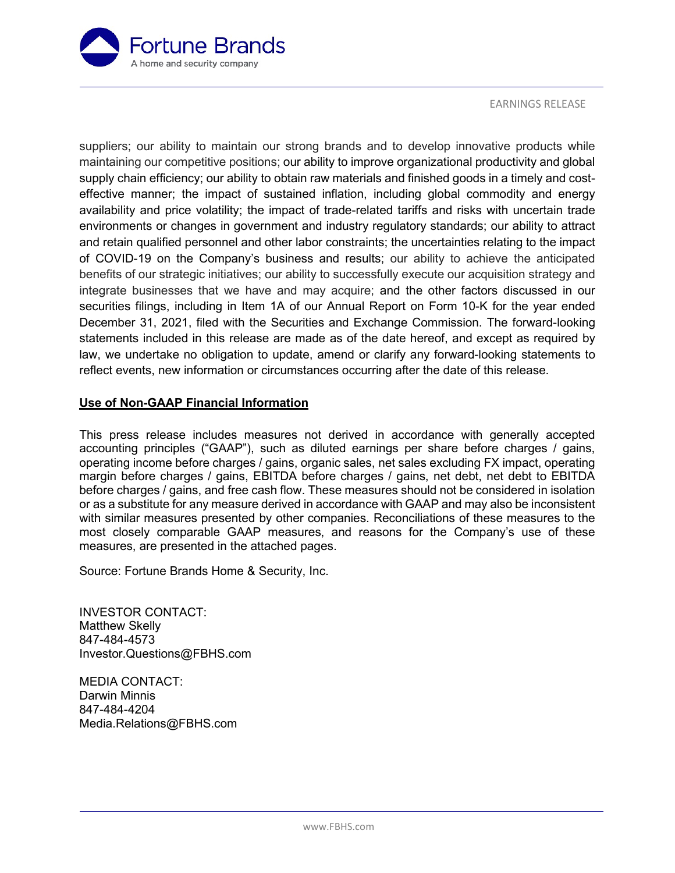

suppliers; our ability to maintain our strong brands and to develop innovative products while maintaining our competitive positions; our ability to improve organizational productivity and global supply chain efficiency; our ability to obtain raw materials and finished goods in a timely and costeffective manner; the impact of sustained inflation, including global commodity and energy availability and price volatility; the impact of trade-related tariffs and risks with uncertain trade environments or changes in government and industry regulatory standards; our ability to attract and retain qualified personnel and other labor constraints; the uncertainties relating to the impact of COVID-19 on the Company's business and results; our ability to achieve the anticipated benefits of our strategic initiatives; our ability to successfully execute our acquisition strategy and integrate businesses that we have and may acquire; and the other factors discussed in our securities filings, including in Item 1A of our Annual Report on Form 10-K for the year ended December 31, 2021, filed with the Securities and Exchange Commission. The forward-looking statements included in this release are made as of the date hereof, and except as required by law, we undertake no obligation to update, amend or clarify any forward-looking statements to reflect events, new information or circumstances occurring after the date of this release.

## **Use of Non-GAAP Financial Information**

This press release includes measures not derived in accordance with generally accepted accounting principles ("GAAP"), such as diluted earnings per share before charges / gains, operating income before charges / gains, organic sales, net sales excluding FX impact, operating margin before charges / gains, EBITDA before charges / gains, net debt, net debt to EBITDA before charges / gains, and free cash flow. These measures should not be considered in isolation or as a substitute for any measure derived in accordance with GAAP and may also be inconsistent with similar measures presented by other companies. Reconciliations of these measures to the most closely comparable GAAP measures, and reasons for the Company's use of these measures, are presented in the attached pages.

Source: Fortune Brands Home & Security, Inc.

INVESTOR CONTACT: Matthew Skelly 847-484-4573 Investor.Questions@FBHS.com

MEDIA CONTACT: Darwin Minnis 847-484-4204 Media.Relations@FBHS.com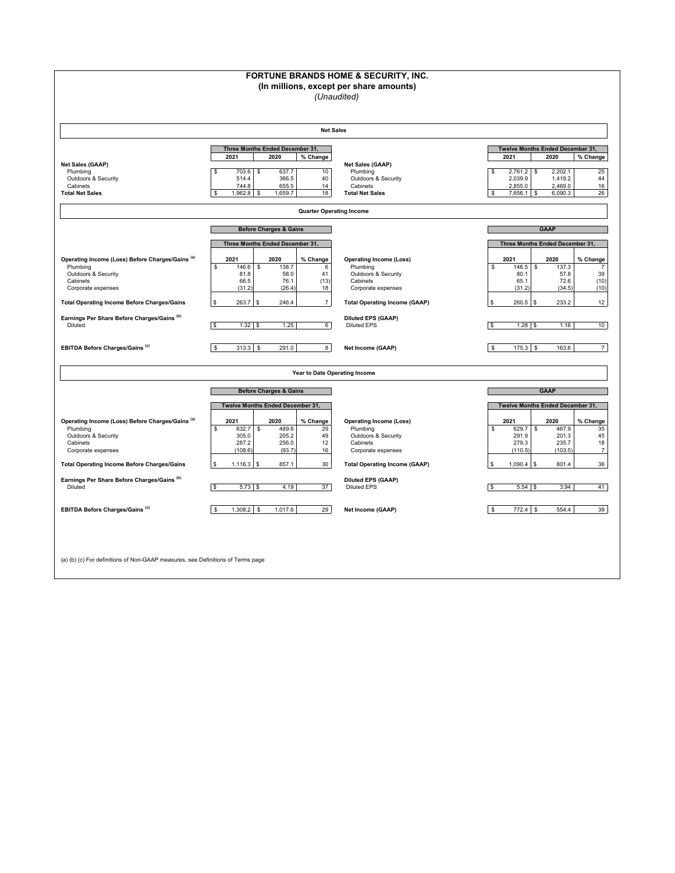|                                                                                                                                                                                                                            |                                                                                                                                                                                       | FORTUNE BRANDS HOME & SECURITY, INC.<br>(In millions, except per share amounts)<br>(Unaudited)                                                                           |                                                                                                                                                                                                           |  |  |  |  |  |  |  |  |
|----------------------------------------------------------------------------------------------------------------------------------------------------------------------------------------------------------------------------|---------------------------------------------------------------------------------------------------------------------------------------------------------------------------------------|--------------------------------------------------------------------------------------------------------------------------------------------------------------------------|-----------------------------------------------------------------------------------------------------------------------------------------------------------------------------------------------------------|--|--|--|--|--|--|--|--|
|                                                                                                                                                                                                                            |                                                                                                                                                                                       | <b>Net Sales</b>                                                                                                                                                         |                                                                                                                                                                                                           |  |  |  |  |  |  |  |  |
| Net Sales (GAAP)<br>Plumbing<br><b>Outdoors &amp; Security</b><br>Cabinets<br><b>Total Net Sales</b>                                                                                                                       | Three Months Ended December 31,<br>2021<br>2020<br>% Change<br>703.6<br>637.7<br>10<br>S<br>\$<br>366.5<br>40<br>514.4<br>744.8<br>655.5<br>14<br>18<br>1,962.8<br>1,659.7<br>S<br>\$ | Net Sales (GAAP)<br>Plumbing<br>Outdoors & Security<br>Cabinets<br><b>Total Net Sales</b>                                                                                | Twelve Months Ended December 31,<br>2021<br>2020<br>% Change<br>2,761.2<br>2,202.1<br>25<br>\$<br><b>S</b><br>2,039.9<br>44<br>1,419.2<br>2,855.0<br>2,469.0<br>16<br>26<br>6,090.3<br>\$<br>$7,656.1$ \$ |  |  |  |  |  |  |  |  |
| <b>Quarter Operating Income</b>                                                                                                                                                                                            |                                                                                                                                                                                       |                                                                                                                                                                          |                                                                                                                                                                                                           |  |  |  |  |  |  |  |  |
|                                                                                                                                                                                                                            | <b>Before Charges &amp; Gains</b><br>Three Months Ended December 31,                                                                                                                  |                                                                                                                                                                          | <b>GAAP</b><br>Three Months Ended December 31,                                                                                                                                                            |  |  |  |  |  |  |  |  |
| Operating Income (Loss) Before Charges/Gains (a)<br>Plumbing<br>Outdoors & Security<br>Cabinets<br>Corporate expenses                                                                                                      | 2021<br>2020<br>% Change<br>\$<br>146.6<br>$\mathbb S$<br>138.7<br>6<br>58.0<br>41<br>81.8<br>(13)<br>76.1<br>66.5<br>(31.2)<br>(26.4)<br>18                                          | <b>Operating Income (Loss)</b><br>Plumbing<br>Outdoors & Security<br>Cabinets<br>Corporate expenses                                                                      | 2021<br>2020<br>% Change<br>\$<br>146.5<br>$\mathbb{S}$<br>137.3<br>$\overline{7}$<br>80.1<br>39<br>57.8<br>(10)<br>65.1<br>72.6<br>(34.5)<br>(10)<br>(31.2)                                              |  |  |  |  |  |  |  |  |
| <b>Total Operating Income Before Charges/Gains</b>                                                                                                                                                                         | $\boldsymbol{7}$<br>263.7<br>\$<br>246.4                                                                                                                                              | <b>Total Operating Income (GAAP)</b>                                                                                                                                     | 260.5<br>233.2<br>12<br>\$<br>S.                                                                                                                                                                          |  |  |  |  |  |  |  |  |
| Earnings Per Share Before Charges/Gains (b)<br>Diluted                                                                                                                                                                     | $1.32$ \$<br>1.25<br>6<br>\$                                                                                                                                                          | <b>Diluted EPS (GAAP)</b><br><b>Diluted EPS</b>                                                                                                                          | $1.28$ \$<br>l s<br>1.16<br>10 <sup>1</sup>                                                                                                                                                               |  |  |  |  |  |  |  |  |
| EBITDA Before Charges/Gains <sup>(c)</sup>                                                                                                                                                                                 | 8<br>\$<br>313.3<br><b>S</b><br>291.0                                                                                                                                                 | Net Income (GAAP)                                                                                                                                                        | $\overline{7}$<br><b>S</b><br>175.3<br>163.6<br>-S                                                                                                                                                        |  |  |  |  |  |  |  |  |
|                                                                                                                                                                                                                            |                                                                                                                                                                                       | Year to Date Operating Income                                                                                                                                            |                                                                                                                                                                                                           |  |  |  |  |  |  |  |  |
|                                                                                                                                                                                                                            | <b>Before Charges &amp; Gains</b>                                                                                                                                                     |                                                                                                                                                                          | <b>GAAP</b>                                                                                                                                                                                               |  |  |  |  |  |  |  |  |
|                                                                                                                                                                                                                            | Twelve Months Ended December 31,                                                                                                                                                      |                                                                                                                                                                          | Twelve Months Ended December 31,                                                                                                                                                                          |  |  |  |  |  |  |  |  |
| Operating Income (Loss) Before Charges/Gains (a)<br>Plumbing<br>Outdoors & Security<br>Cabinets<br>Corporate expenses<br><b>Total Operating Income Before Charges/Gains</b><br>Earnings Per Share Before Charges/Gains (b) | 2021<br>2020<br>% Change<br>\$<br>632.7<br>\$<br>489.6<br>29<br>305.0<br>205.2<br>49<br>287.2<br>256.0<br>12<br>(108.6)<br>16<br>(93.7)<br>857.1<br>30<br>1,116.3<br>\$               | <b>Operating Income (Loss)</b><br>Plumbing<br>Outdoors & Security<br>Cabinets<br>Corporate expenses<br><b>Total Operating Income (GAAP)</b><br><b>Diluted EPS (GAAP)</b> | 2020<br>% Change<br>2021<br>\$<br>629.7<br>467.9<br>\$<br>35<br>291.9<br>201.3<br>45<br>279.3<br>235.7<br>18<br>(103.5)<br>(110.5)<br>$\overline{7}$<br>1,090.4<br>801.4<br>36<br>S.                      |  |  |  |  |  |  |  |  |
| Diluted                                                                                                                                                                                                                    | 37<br>$5.73$ \$<br>4.19<br>$\mathbf{s}$                                                                                                                                               | <b>Diluted EPS</b>                                                                                                                                                       | $5.54$ \$<br>3.94<br>41<br>ا ۹                                                                                                                                                                            |  |  |  |  |  |  |  |  |
| EBITDA Before Charges/Gains (c)                                                                                                                                                                                            | $1,308.2$ \$<br>1,017.6<br>29<br>\$                                                                                                                                                   | Net Income (GAAP)                                                                                                                                                        | \$<br>772.4 \$<br>554.4<br>39                                                                                                                                                                             |  |  |  |  |  |  |  |  |
| (a) (b) (c) For definitions of Non-GAAP measures, see Definitions of Terms page                                                                                                                                            |                                                                                                                                                                                       |                                                                                                                                                                          |                                                                                                                                                                                                           |  |  |  |  |  |  |  |  |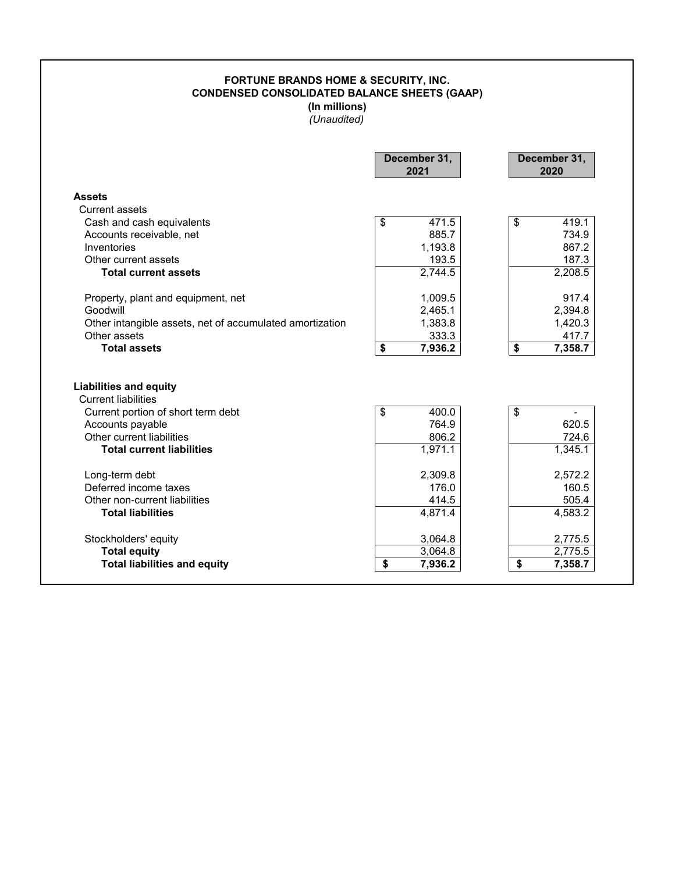## **FORTUNE BRANDS HOME & SECURITY, INC. CONDENSED CONSOLIDATED BALANCE SHEETS (GAAP) (In millions)** *(Unaudited)*

|                                                                                      | December 31,<br>2021     | December 31,<br>2020     |
|--------------------------------------------------------------------------------------|--------------------------|--------------------------|
| <b>Assets</b>                                                                        |                          |                          |
| Current assets                                                                       |                          |                          |
| Cash and cash equivalents                                                            | \$<br>471.5              | \$<br>419.1              |
| Accounts receivable, net                                                             | 885.7                    | 734.9                    |
| Inventories                                                                          | 1,193.8                  | 867.2                    |
| Other current assets                                                                 | 193.5                    | 187.3                    |
| <b>Total current assets</b>                                                          | 2,744.5                  | 2,208.5                  |
| Property, plant and equipment, net                                                   | 1,009.5                  | 917.4                    |
| Goodwill                                                                             | 2,465.1                  | 2,394.8                  |
| Other intangible assets, net of accumulated amortization                             | 1,383.8                  | 1,420.3                  |
| Other assets                                                                         | 333.3                    | 417.7                    |
| <b>Total assets</b>                                                                  | \$<br>7,936.2            | \$<br>7,358.7            |
| <b>Liabilities and equity</b>                                                        |                          |                          |
| <b>Current liabilities</b><br>Current portion of short term debt<br>Accounts payable | \$<br>400.0<br>764.9     | \$<br>620.5              |
| Other current liabilities                                                            | 806.2                    | 724.6                    |
| <b>Total current liabilities</b>                                                     | 1,971.1                  | 1,345.1                  |
| Long-term debt                                                                       | 2,309.8                  | 2,572.2                  |
| Deferred income taxes                                                                | 176.0                    | 160.5                    |
| Other non-current liabilities                                                        | 414.5                    | 505.4                    |
| <b>Total liabilities</b>                                                             | 4,871.4                  | 4,583.2                  |
| Stockholders' equity                                                                 | 3,064.8                  | 2,775.5                  |
| <b>Total equity</b><br><b>Total liabilities and equity</b>                           | 3,064.8<br>\$<br>7,936.2 | 2,775.5<br>\$<br>7,358.7 |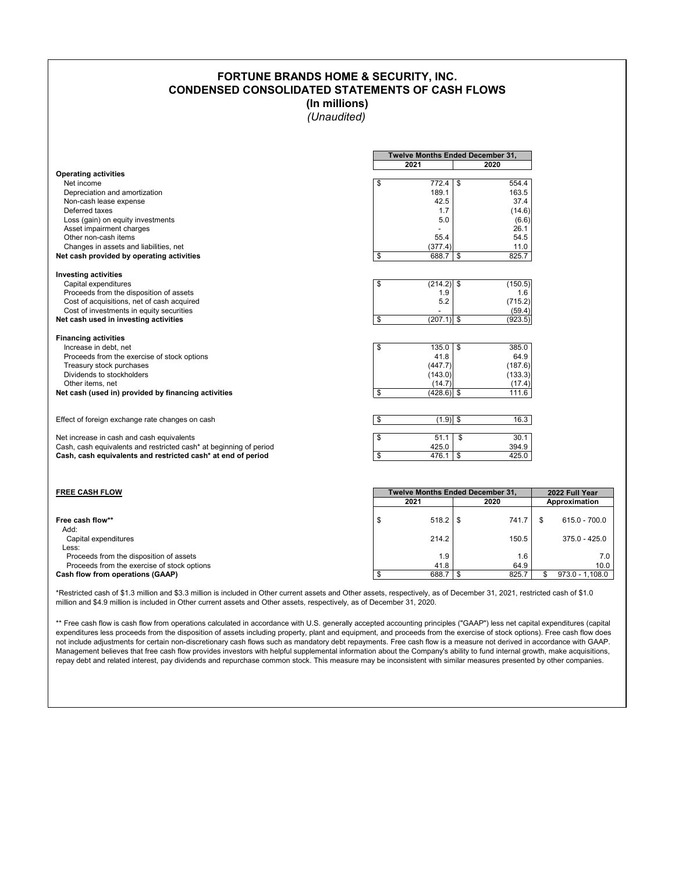## **FORTUNE BRANDS HOME & SECURITY, INC. CONDENSED CONSOLIDATED STATEMENTS OF CASH FLOWS**

**(In millions)**

*(Unaudited)*

|                                                                    | Twelve Months Ended December 31, |         |
|--------------------------------------------------------------------|----------------------------------|---------|
|                                                                    | 2021                             | 2020    |
| <b>Operating activities</b>                                        |                                  |         |
| Net income                                                         | \$<br>772.4<br>\$                | 554.4   |
| Depreciation and amortization                                      | 189.1                            | 163.5   |
| Non-cash lease expense                                             | 42.5                             | 37.4    |
| Deferred taxes                                                     | 1.7                              | (14.6)  |
| Loss (gain) on equity investments                                  | 5.0                              | (6.6)   |
| Asset impairment charges                                           |                                  | 26.1    |
| Other non-cash items                                               | 55.4                             | 54.5    |
| Changes in assets and liabilities, net                             | (377.4)                          | 11.0    |
| Net cash provided by operating activities                          | \$<br>688.7<br>\$                | 825.7   |
| <b>Investing activities</b>                                        |                                  |         |
| Capital expenditures                                               | \$<br>$(214.2)$ \$               | (150.5) |
| Proceeds from the disposition of assets                            | 1.9                              | 1.6     |
| Cost of acquisitions, net of cash acquired                         | 5.2                              | (715.2) |
| Cost of investments in equity securities                           |                                  | (59.4)  |
| Net cash used in investing activities                              | \$<br>$(207.1)$ \$               | (923.5) |
| <b>Financing activities</b>                                        |                                  |         |
| Increase in debt. net                                              | \$<br>135.0<br>\$                | 385.0   |
| Proceeds from the exercise of stock options                        | 41.8                             | 64.9    |
| Treasury stock purchases                                           | (447.7)                          | (187.6) |
| Dividends to stockholders                                          | (143.0)                          | (133.3) |
| Other items, net                                                   | (14.7)                           | (17.4)  |
| Net cash (used in) provided by financing activities                | \$<br>$(428.6)$ \$               | 111.6   |
|                                                                    |                                  |         |
| Effect of foreign exchange rate changes on cash                    | \$<br>$(1.9)$ \$                 | 16.3    |
| Net increase in cash and cash equivalents                          | \$<br>51.1<br>\$                 | 30.1    |
| Cash, cash equivalents and restricted cash* at beginning of period | 425.0                            | 394.9   |
| Cash, cash equivalents and restricted cash* at end of period       | \$<br>\$<br>476.1                | 425.0   |
|                                                                    |                                  |         |

| <b>FREE CASH FLOW</b>                       | <b>Twelve Months Ended December 31.</b> |       |      |       |               | 2022 Full Year    |  |  |
|---------------------------------------------|-----------------------------------------|-------|------|-------|---------------|-------------------|--|--|
|                                             |                                         | 2021  | 2020 |       | Approximation |                   |  |  |
|                                             |                                         |       |      |       |               |                   |  |  |
| Free cash flow**                            |                                         |       |      | 741.7 |               | 615.0 - 700.0     |  |  |
| Add:                                        |                                         |       |      |       |               |                   |  |  |
| Capital expenditures                        |                                         | 214.2 |      | 150.5 |               | $375.0 - 425.0$   |  |  |
| Less:                                       |                                         |       |      |       |               |                   |  |  |
| Proceeds from the disposition of assets     |                                         | 1.9   |      | 1.6   |               | 7.0               |  |  |
| Proceeds from the exercise of stock options |                                         | 41.8  |      | 64.9  |               | 10.0              |  |  |
| Cash flow from operations (GAAP)            |                                         | 688.7 |      | 825.7 |               | $973.0 - 1.108.0$ |  |  |

\*Restricted cash of \$1.3 million and \$3.3 million is included in Other current assets and Other assets, respectively, as of December 31, 2021, restricted cash of \$1.0 million and \$4.9 million is included in Other current assets and Other assets, respectively, as of December 31, 2020.

\*\* Free cash flow is cash flow from operations calculated in accordance with U.S. generally accepted accounting principles ("GAAP") less net capital expenditures (capital expenditures less proceeds from the disposition of assets including property, plant and equipment, and proceeds from the exercise of stock options). Free cash flow does not include adjustments for certain non-discretionary cash flows such as mandatory debt repayments. Free cash flow is a measure not derived in accordance with GAAP. Management believes that free cash flow provides investors with helpful supplemental information about the Company's ability to fund internal growth, make acquisitions, repay debt and related interest, pay dividends and repurchase common stock. This measure may be inconsistent with similar measures presented by other companies.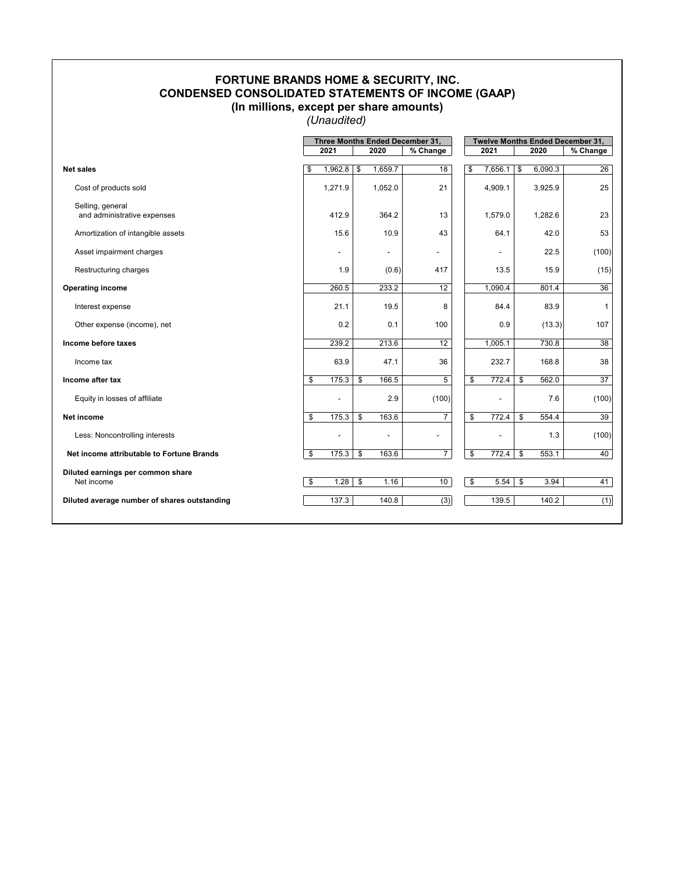## **FORTUNE BRANDS HOME & SECURITY, INC. CONDENSED CONSOLIDATED STATEMENTS OF INCOME (GAAP) (In millions, except per share amounts)**

*(Unaudited)*

|                                                 |                          |                          | Three Months Ended December 31, | <b>Twelve Months Ended December 31,</b> |    |         |                 |  |
|-------------------------------------------------|--------------------------|--------------------------|---------------------------------|-----------------------------------------|----|---------|-----------------|--|
|                                                 | 2021                     | 2020                     | % Change                        | 2021                                    |    | 2020    | % Change        |  |
|                                                 |                          |                          |                                 |                                         |    |         |                 |  |
| <b>Net sales</b>                                | \$<br>1,962.8            | \$<br>1,659.7            | 18                              | \$<br>7,656.1                           | \$ | 6,090.3 | 26              |  |
| Cost of products sold                           | 1,271.9                  | 1,052.0                  | 21                              | 4,909.1                                 |    | 3,925.9 | 25              |  |
| Selling, general<br>and administrative expenses | 412.9                    | 364.2                    | 13                              | 1,579.0                                 |    | 1,282.6 | 23              |  |
| Amortization of intangible assets               | 15.6                     | 10.9                     | 43                              | 64.1                                    |    | 42.0    | 53              |  |
| Asset impairment charges                        | $\overline{\phantom{a}}$ | $\overline{\phantom{a}}$ | $\overline{\phantom{a}}$        |                                         |    | 22.5    | (100)           |  |
| Restructuring charges                           | 1.9                      | (0.6)                    | 417                             | 13.5                                    |    | 15.9    | (15)            |  |
| <b>Operating income</b>                         | 260.5                    | 233.2                    | 12                              | 1,090.4                                 |    | 801.4   | 36              |  |
| Interest expense                                | 21.1                     | 19.5                     | 8                               | 84.4                                    |    | 83.9    | 1               |  |
| Other expense (income), net                     | 0.2                      | 0.1                      | 100                             | 0.9                                     |    | (13.3)  | 107             |  |
| Income before taxes                             | 239.2                    | 213.6                    | 12                              | 1,005.1                                 |    | 730.8   | 38              |  |
| Income tax                                      | 63.9                     | 47.1                     | 36                              | 232.7                                   |    | 168.8   | 38              |  |
| Income after tax                                | \$<br>175.3              | \$<br>166.5              | 5                               | \$<br>772.4                             | \$ | 562.0   | $\overline{37}$ |  |
| Equity in losses of affiliate                   | ٠                        | 2.9                      | (100)                           |                                         |    | 7.6     | (100)           |  |
| <b>Net income</b>                               | \$<br>175.3              | \$<br>163.6              | $\overline{7}$                  | \$<br>772.4                             | \$ | 554.4   | 39              |  |
| Less: Noncontrolling interests                  |                          | $\overline{\phantom{0}}$ |                                 |                                         |    | 1.3     | (100)           |  |
| Net income attributable to Fortune Brands       | \$<br>175.3              | \$<br>163.6              | $\overline{7}$                  | \$<br>772.4                             | \$ | 553.1   | 40              |  |
| Diluted earnings per common share<br>Net income | \$<br>1.28               | \$<br>1.16               | 10                              | \$<br>5.54                              | \$ | 3.94    | 41              |  |
|                                                 |                          |                          |                                 |                                         |    |         |                 |  |
| Diluted average number of shares outstanding    | 137.3                    | 140.8                    | (3)                             | 139.5                                   |    | 140.2   | (1)             |  |
|                                                 |                          |                          |                                 |                                         |    |         |                 |  |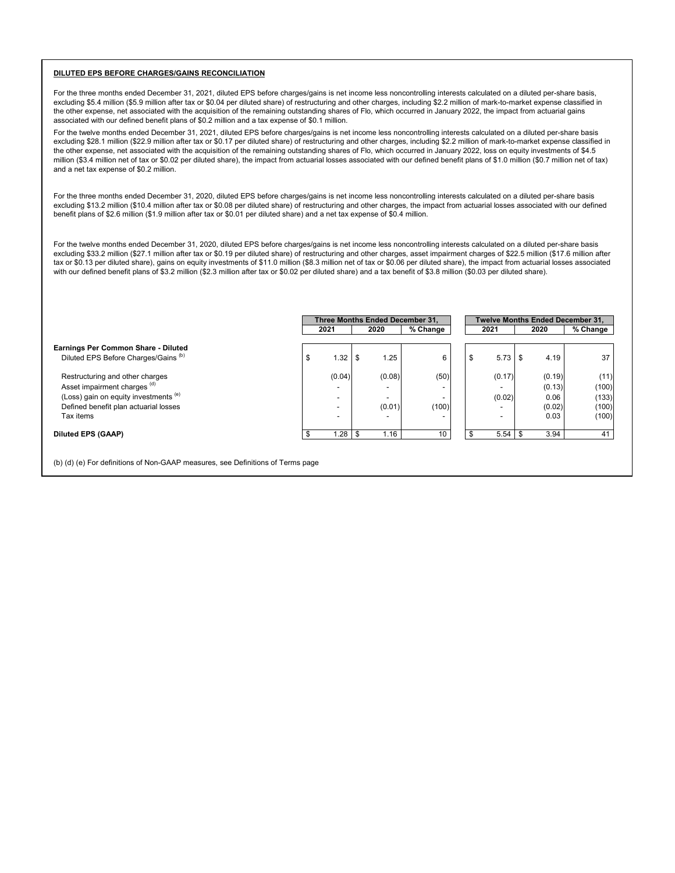#### **DILUTED EPS BEFORE CHARGES/GAINS RECONCILIATION**

For the three months ended December 31, 2021, diluted EPS before charges/gains is net income less noncontrolling interests calculated on a diluted per-share basis, excluding \$5.4 million (\$5.9 million after tax or \$0.04 per diluted share) of restructuring and other charges, including \$2.2 million of mark-to-market expense classified in the other expense, net associated with the acquisition of the remaining outstanding shares of Flo, which occurred in January 2022, the impact from actuarial gains associated with our defined benefit plans of \$0.2 million and a tax expense of \$0.1 million.

For the twelve months ended December 31, 2021, diluted EPS before charges/gains is net income less noncontrolling interests calculated on a diluted per-share basis excluding \$28.1 million (\$22.9 million after tax or \$0.17 per diluted share) of restructuring and other charges, including \$2.2 million of mark-to-market expense classified in the other expense, net associated with the acquisition of the remaining outstanding shares of Flo, which occurred in January 2022, loss on equity investments of \$4.5 million (\$3.4 million net of tax or \$0.02 per diluted share), the impact from actuarial losses associated with our defined benefit plans of \$1.0 million (\$0.7 million net of tax) and a net tax expense of \$0.2 million.

For the three months ended December 31, 2020, diluted EPS before charges/gains is net income less noncontrolling interests calculated on a diluted per-share basis excluding \$13.2 million (\$10.4 million after tax or \$0.08 per diluted share) of restructuring and other charges, the impact from actuarial losses associated with our defined benefit plans of \$2.6 million (\$1.9 million after tax or \$0.01 per diluted share) and a net tax expense of \$0.4 million.

For the twelve months ended December 31, 2020, diluted EPS before charges/gains is net income less noncontrolling interests calculated on a diluted per-share basis excluding \$33.2 million (\$27.1 million after tax or \$0.19 per diluted share) of restructuring and other charges, asset impairment charges of \$22.5 million (\$17.6 million after tax or \$0.13 per diluted share), gains on equity investments of \$11.0 million (\$8.3 million net of tax or \$0.06 per diluted share), the impact from actuarial losses associated with our defined benefit plans of \$3.2 million (\$2.3 million after tax or \$0.02 per diluted share) and a tax benefit of \$3.8 million (\$0.03 per diluted share).

|                                       | Three Months Ended December 31. |      |        |          | <b>Twelve Months Ended December 31.</b> |           |    |        |          |
|---------------------------------------|---------------------------------|------|--------|----------|-----------------------------------------|-----------|----|--------|----------|
|                                       | 2021                            |      | 2020   | % Change |                                         | 2021      |    | 2020   | % Change |
| Earnings Per Common Share - Diluted   |                                 |      |        |          |                                         |           |    |        |          |
| Diluted EPS Before Charges/Gains (b)  | \$<br>1.32                      | - \$ | 1.25   | 6        | \$                                      | $5.73$ \$ |    | 4.19   | 37       |
| Restructuring and other charges       | (0.04)                          |      | (0.08) | (50)     |                                         | (0.17)    |    | (0.19) | (11)     |
| Asset impairment charges (d)          |                                 |      |        |          |                                         |           |    | (0.13) | (100)    |
| (Loss) gain on equity investments (e) |                                 |      |        |          |                                         | (0.02)    |    | 0.06   | (133)    |
| Defined benefit plan actuarial losses |                                 |      | (0.01) | (100)    |                                         |           |    | (0.02) | (100)    |
| Tax items                             |                                 |      |        |          |                                         |           |    | 0.03   | (100)    |
| <b>Diluted EPS (GAAP)</b>             | 1.28                            | - \$ | 1.16   | 10       |                                         | 5.54      | \$ | 3.94   | 41       |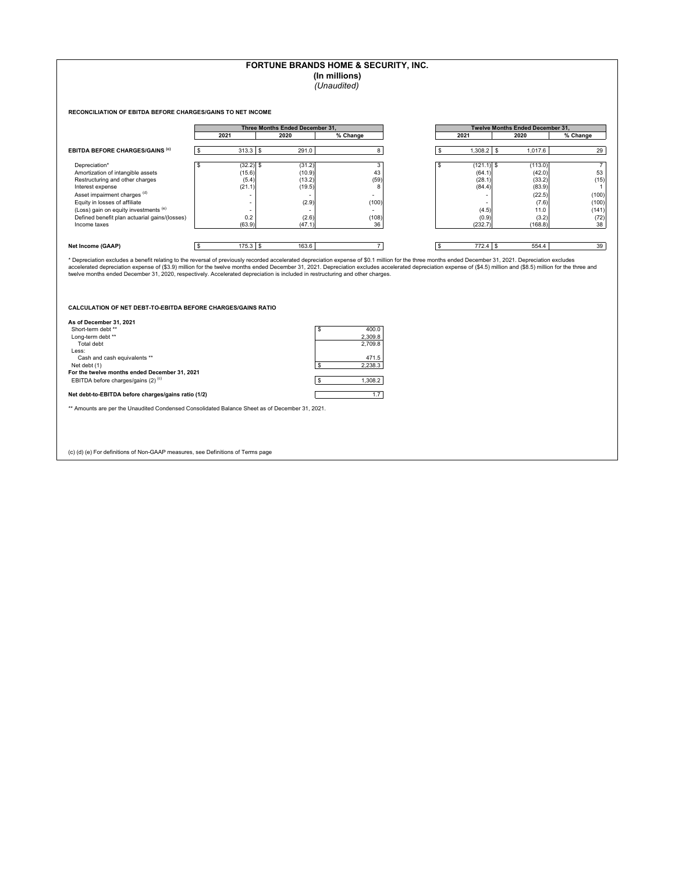### **FORTUNE BRANDS HOME & SECURITY, INC.**

**(In millions)**

*(Unaudited)*

**RECONCILIATION OF EBITDA BEFORE CHARGES/GAINS TO NET INCOME**

|                                               |             | Three Months Ended December 31. |          |                          | <b>Twelve Months Ended December 31.</b> |          |
|-----------------------------------------------|-------------|---------------------------------|----------|--------------------------|-----------------------------------------|----------|
|                                               | 2021        | 2020                            | % Change | 2021                     | 2020                                    | % Change |
| <b>EBITDA BEFORE CHARGES/GAINS (C)</b>        | $313.3$ \$  | 291.0                           |          | $1,308.2$ \$             | 1,017.6                                 | 29       |
| Depreciation*                                 | $(32.2)$ \$ | (31.2)                          | 3        | (121.1)                  | (113.0)                                 |          |
| Amortization of intangible assets             | (15.6)      | (10.9)                          | 43       | (64.1)                   | (42.0)                                  | 53       |
| Restructuring and other charges               | (5.4)       | (13.2)                          | (59)     | (28.1)                   | (33.2)                                  | (15)     |
| Interest expense                              | (21.1)      | (19.5)                          | 8        | (84.4)                   | (83.9)                                  |          |
| Asset impairment charges (d)                  |             |                                 |          | $\overline{\phantom{a}}$ | (22.5)                                  | (100)    |
| Equity in losses of affiliate                 |             | (2.9)                           | (100)    | $\overline{\phantom{a}}$ | (7.6)                                   | (100)    |
| (Loss) gain on equity investments (e)         |             |                                 | $\sim$   | (4.5)                    | 11.0                                    | (141)    |
| Defined benefit plan actuarial gains/(losses) | 0.2         | (2.6)                           | (108)    | (0.9)                    | (3.2)                                   | (72)     |
| Income taxes                                  | (63.9)      | (47.1)                          | 36       | (232.7)                  | (168.8)                                 | 38       |
|                                               |             |                                 |          |                          |                                         |          |
| Net Income (GAAP)                             | $175.3$ \$  | 163.6                           |          | $772.4$ \$               | 554.4                                   | 39       |

| Twelve Months Ended December 31, |         |    |         |          |  |  |  |  |
|----------------------------------|---------|----|---------|----------|--|--|--|--|
|                                  | 2021    |    | 2020    | % Change |  |  |  |  |
|                                  |         |    |         |          |  |  |  |  |
| \$                               | 1,308.2 | \$ | 1,017.6 | 29       |  |  |  |  |
|                                  |         |    |         |          |  |  |  |  |
| \$                               | (121.1) | \$ | (113.0) |          |  |  |  |  |
|                                  | (64.1)  |    | (42.0)  | 53       |  |  |  |  |
|                                  | (28.1)  |    | (33.2)  | (15)     |  |  |  |  |
|                                  | (84.4)  |    | (83.9)  |          |  |  |  |  |
|                                  |         |    | (22.5)  | (100)    |  |  |  |  |
|                                  |         |    | (7.6)   | (100)    |  |  |  |  |
|                                  | (4.5)   |    | 11.0    | (141)    |  |  |  |  |
|                                  | (0.9)   |    | (3.2)   | (72      |  |  |  |  |
|                                  | (232.7) |    | (168.8) | 38       |  |  |  |  |

\* Depreciation excludes a benefit relating to the reversal of previously recorded accelerated depreciation expense of \$0.1 million for the three months ended December 31, 2021. Depreciation excludes<br>accelerated depreciatio

**CALCULATION OF NET DEBT-TO-EBITDA BEFORE CHARGES/GAINS RATIO**

| As of December 31, 2021                             |             |
|-----------------------------------------------------|-------------|
| Short-term debt **                                  | \$<br>400.0 |
| Long-term debt **                                   | 2,309.8     |
| Total debt                                          | 2.709.8     |
| Less:                                               |             |
| Cash and cash equivalents **                        | 471.5       |
| Net debt (1)                                        | 2.238.3     |
| For the twelve months ended December 31, 2021       |             |
| EBITDA before charges/gains (2) <sup>(c)</sup>      | 1.308.2     |
| Net debt-to-EBITDA before charges/gains ratio (1/2) | 1.7         |
|                                                     |             |

\*\* Amounts are per the Unaudited Condensed Consolidated Balance Sheet as of December 31, 2021.

(c) (d) (e) For definitions of Non-GAAP measures, see Definitions of Terms page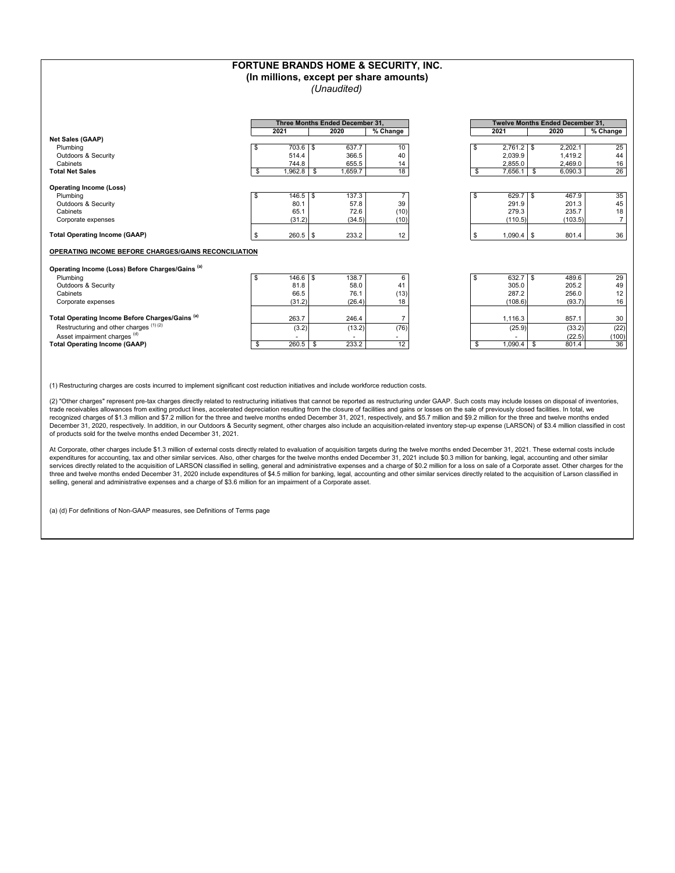|                                                             |    |                     | FORTUNE BRANDS HOME & SECURITY, INC.<br>(In millions, except per share amounts) |                |                    |                                         |                |
|-------------------------------------------------------------|----|---------------------|---------------------------------------------------------------------------------|----------------|--------------------|-----------------------------------------|----------------|
|                                                             |    |                     | (Unaudited)                                                                     |                |                    |                                         |                |
|                                                             |    |                     |                                                                                 |                |                    |                                         |                |
|                                                             |    |                     | Three Months Ended December 31.                                                 |                |                    | <b>Twelve Months Ended December 31.</b> |                |
|                                                             |    | 2021                | 2020                                                                            | $%$ Change     | 2021               | 2020                                    | $%$ Change     |
| <b>Net Sales (GAAP)</b>                                     |    |                     |                                                                                 |                |                    |                                         |                |
| Plumbing                                                    | \$ | 703.6<br>l \$       | 637.7                                                                           | 10             | \$<br>$2,761.2$ \$ | 2,202.1                                 | 25             |
| Outdoors & Security                                         |    | 514.4               | 366.5                                                                           | 40             | 2,039.9            | 1.419.2                                 | 44             |
| Cabinets                                                    |    | 744.8               | 655.5                                                                           | 14             | 2,855.0            | 2,469.0                                 | 16             |
| <b>Total Net Sales</b>                                      | \$ | 1.962.8             | 1.659.7<br>S.                                                                   | 18             | \$<br>7,656.1      | \$<br>6.090.3                           | 26             |
| <b>Operating Income (Loss)</b>                              |    |                     |                                                                                 |                |                    |                                         |                |
| Plumbing                                                    | \$ | $146.5$ \\$         | 137.3                                                                           | $\overline{7}$ | \$<br>$629.7$ \$   | 467.9                                   | 35             |
| <b>Outdoors &amp; Security</b>                              |    | 80.1                | 57.8                                                                            | 39             | 291.9              | 201.3                                   | 45             |
| Cabinets                                                    |    | 65.1                | 72.6                                                                            | (10)           | 279.3              | 235.7                                   | 18             |
| Corporate expenses                                          |    | (31.2)              | (34.5)                                                                          | (10)           | (110.5)            | (103.5)                                 | $\overline{7}$ |
|                                                             |    |                     |                                                                                 |                |                    |                                         |                |
| <b>Total Operating Income (GAAP)</b>                        | \$ | 260.5<br>S.         | 233.2                                                                           | 12             | \$<br>1,090.4      | l s<br>801.4                            | 36             |
| OPERATING INCOME BEFORE CHARGES/GAINS RECONCILIATION        |    |                     |                                                                                 |                |                    |                                         |                |
|                                                             |    |                     |                                                                                 |                |                    |                                         |                |
| Operating Income (Loss) Before Charges/Gains <sup>(a)</sup> |    |                     |                                                                                 |                |                    |                                         |                |
| Plumbing                                                    | \$ | 146.6<br>$\sqrt{s}$ | 138.7                                                                           | 6              | \$                 | 489.6                                   | 29             |
| Outdoors & Security                                         |    | 81.8                | 58.0                                                                            | 41             | 305.0              | 205.2                                   | 49             |
| Cabinets                                                    |    | 66.5                | 76.1                                                                            | (13)           | 287.2              | 256.0                                   | 12             |
| Corporate expenses                                          |    | (31.2)              | (26.4)                                                                          | 18             | (108.6)            | (93.7)                                  | 16             |
|                                                             |    |                     |                                                                                 |                |                    |                                         |                |
| Total Operating Income Before Charges/Gains <sup>(a)</sup>  |    | 263.7               | 246.4                                                                           | $\overline{7}$ | 1,116.3            | 857.1                                   | 30             |
| Restructuring and other charges (1)(2)                      |    | (3.2)               | (13.2)                                                                          | (76)           | (25.9)             | (33.2)                                  | (22)           |
| Asset impairment charges <sup>(d)</sup>                     |    |                     |                                                                                 | $\mathbf{r}$   |                    | (22.5)                                  | (100)          |
| <b>Total Operating Income (GAAP)</b>                        | S  | 260.5               | 233.2<br>\$                                                                     | 12             | 1,090.4<br>S       | 801.4<br>\$                             | 36             |

(1) Restructuring charges are costs incurred to implement significant cost reduction initiatives and include workforce reduction costs.

(2) "Other charges" represent pre-tax charges directly related to restructuring initiatives that cannot be reported as restructuring under GAAP. Such costs may include losses on disposal of inventories, trade receivables allowances from exiting product lines, accelerated depreciation resulting from the closure of facilities and gains or losses on the sale of previously closed facilities. In total, we recognized charges of \$1.3 million and \$7.2 million for the three and twelve months ended December 31, 2021, respectively, and \$5.7 million and \$9.2 million for the three and twelve months ended December 31, 2020, respectively. In addition, in our Outdoors & Security segment, other charges also include an acquisition-related inventory step-up expense (LARSON) of \$3.4 million classified in cost of products sold for the twelve months ended December 31, 2021.

At Corporate, other charges include \$1.3 million of external costs directly related to evaluation of acquisition targets during the twelve months ended December 31, 2021. These external costs include expenditures for accounting, tax and other similar services. Also, other charges for the twelve months ended December 31, 2021 include \$0.3 million for banking, legal, accounting and other similar<br>services directly related three and twelve months ended December 31, 2020 include expenditures of \$4.5 million for banking, legal, accounting and other similar services directly related to the acquisition of Larson classified in selling, general and administrative expenses and a charge of \$3.6 million for an impairment of a Corporate asset.

(a) (d) For definitions of Non-GAAP measures, see Definitions of Terms page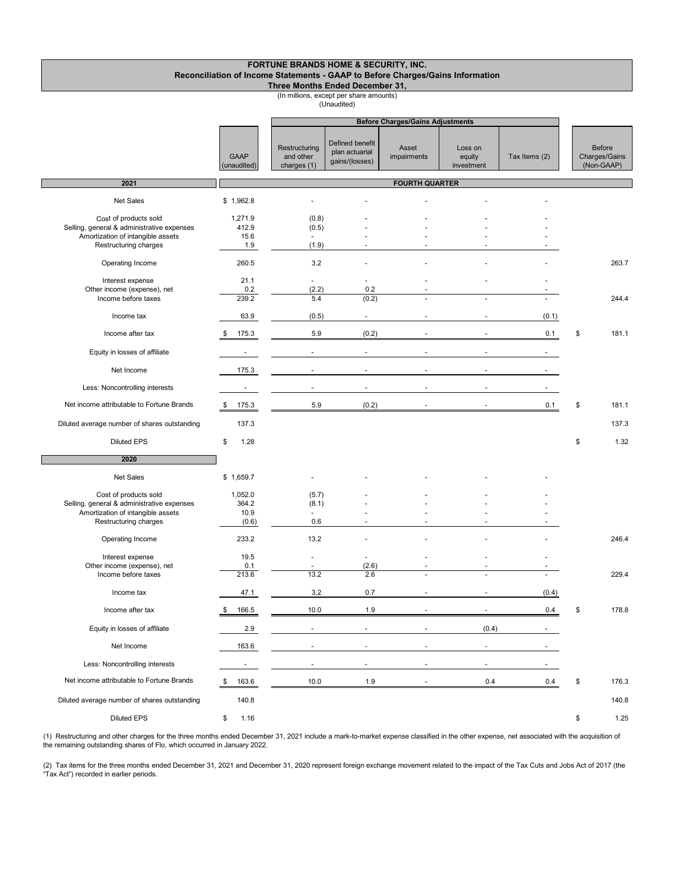| <b>FORTUNE BRANDS HOME &amp; SECURITY, INC.</b>                                |
|--------------------------------------------------------------------------------|
| Reconciliation of Income Statements - GAAP to Before Charges/Gains Information |
| Three Months Ended December 31,                                                |

(In millions, except per share amounts)

(Unaudited)

|                                                                                                                                   |                                   |                                           |                                                     | <b>Before Charges/Gains Adjustments</b> |                                 |               |                                              |
|-----------------------------------------------------------------------------------------------------------------------------------|-----------------------------------|-------------------------------------------|-----------------------------------------------------|-----------------------------------------|---------------------------------|---------------|----------------------------------------------|
|                                                                                                                                   | <b>GAAP</b><br>(unaudited)        | Restructuring<br>and other<br>charges (1) | Defined benefit<br>plan actuarial<br>gains/(losses) | Asset<br>impairments                    | Loss on<br>equity<br>investment | Tax Items (2) | <b>Before</b><br>Charges/Gains<br>(Non-GAAP) |
| 2021                                                                                                                              |                                   |                                           |                                                     | <b>FOURTH QUARTER</b>                   |                                 |               |                                              |
| Net Sales                                                                                                                         | \$1,962.8                         |                                           |                                                     |                                         |                                 |               |                                              |
| Cost of products sold<br>Selling, general & administrative expenses<br>Amortization of intangible assets<br>Restructuring charges | 1,271.9<br>412.9<br>15.6<br>1.9   | (0.8)<br>(0.5)<br>(1.9)                   |                                                     |                                         |                                 |               |                                              |
| Operating Income                                                                                                                  | 260.5                             | 3.2                                       |                                                     |                                         |                                 |               | 263.7                                        |
| Interest expense<br>Other income (expense), net<br>Income before taxes                                                            | 21.1<br>0.2<br>239.2              | ä,<br>(2.2)<br>5.4                        | ä,<br>0.2<br>(0.2)                                  |                                         |                                 |               | 244.4                                        |
| Income tax                                                                                                                        | 63.9                              | (0.5)                                     | $\blacksquare$                                      |                                         | $\sim$                          | (0.1)         |                                              |
| Income after tax                                                                                                                  | 175.3<br>\$                       | 5.9                                       | (0.2)                                               |                                         |                                 | 0.1           | \$<br>181.1                                  |
| Equity in losses of affiliate                                                                                                     | $\overline{\phantom{a}}$          | $\sim$                                    | $\overline{\phantom{a}}$                            | $\blacksquare$                          | $\sim$                          | $\sim$        |                                              |
| Net Income                                                                                                                        | 175.3                             | $\overline{\phantom{a}}$                  | ä,                                                  |                                         |                                 |               |                                              |
| Less: Noncontrolling interests                                                                                                    | $\overline{\phantom{a}}$          | $\blacksquare$                            |                                                     |                                         |                                 |               |                                              |
| Net income attributable to Fortune Brands                                                                                         | 175.3<br>\$                       | 5.9                                       | (0.2)                                               | $\sim$                                  | $\sim$                          | 0.1           | \$<br>181.1                                  |
| Diluted average number of shares outstanding                                                                                      | 137.3                             |                                           |                                                     |                                         |                                 |               | 137.3                                        |
| <b>Diluted EPS</b>                                                                                                                | \$<br>1.28                        |                                           |                                                     |                                         |                                 |               | \$<br>1.32                                   |
| 2020                                                                                                                              |                                   |                                           |                                                     |                                         |                                 |               |                                              |
| Net Sales                                                                                                                         | \$1,659.7                         |                                           |                                                     |                                         |                                 |               |                                              |
| Cost of products sold<br>Selling, general & administrative expenses<br>Amortization of intangible assets<br>Restructuring charges | 1,052.0<br>364.2<br>10.9<br>(0.6) | (5.7)<br>(8.1)<br>0.6                     |                                                     |                                         |                                 |               |                                              |
| Operating Income                                                                                                                  | 233.2                             | 13.2                                      |                                                     |                                         |                                 |               | 246.4                                        |
| Interest expense<br>Other income (expense), net<br>Income before taxes                                                            | 19.5<br>0.1<br>213.6              | $\blacksquare$<br>13.2                    | $\blacksquare$<br>(2.6)<br>2.6                      |                                         |                                 |               | 229.4                                        |
| Income tax                                                                                                                        | 47.1                              | 3.2                                       | 0.7                                                 |                                         | $\overline{\phantom{a}}$        | (0.4)         |                                              |
| Income after tax                                                                                                                  | 166.5<br>\$                       | 10.0                                      | 1.9                                                 |                                         |                                 | 0.4           | \$<br>178.8                                  |
| Equity in losses of affiliate                                                                                                     | 2.9                               |                                           |                                                     |                                         | (0.4)                           |               |                                              |
| Net Income                                                                                                                        | 163.6                             | $\sim$                                    | $\overline{\phantom{a}}$                            | $\blacksquare$                          | $\blacksquare$                  |               |                                              |
| Less: Noncontrolling interests                                                                                                    | $\overline{\phantom{a}}$          | $\sim$                                    | $\sim$                                              |                                         | $\sim$                          |               |                                              |
| Net income attributable to Fortune Brands                                                                                         | 163.6<br>\$                       | 10.0                                      | 1.9                                                 |                                         | 0.4                             | 0.4           | \$<br>176.3                                  |
| Diluted average number of shares outstanding                                                                                      | 140.8                             |                                           |                                                     |                                         |                                 |               | 140.8                                        |
| Diluted EPS                                                                                                                       | 1.16<br>\$                        |                                           |                                                     |                                         |                                 |               | \$<br>1.25                                   |

(1) Restructuring and other charges for the three months ended December 31, 2021 include a mark-to-market expense classified in the other expense, net associated with the acquisition of the remaining outstanding shares of Flo, which occurred in January 2022.

(2) Tax items for the three months ended December 31, 2021 and December 31, 2020 represent foreign exchange movement related to the impact of the Tax Cuts and Jobs Act of 2017 (the<br>"Tax Act") recorded in earlier periods.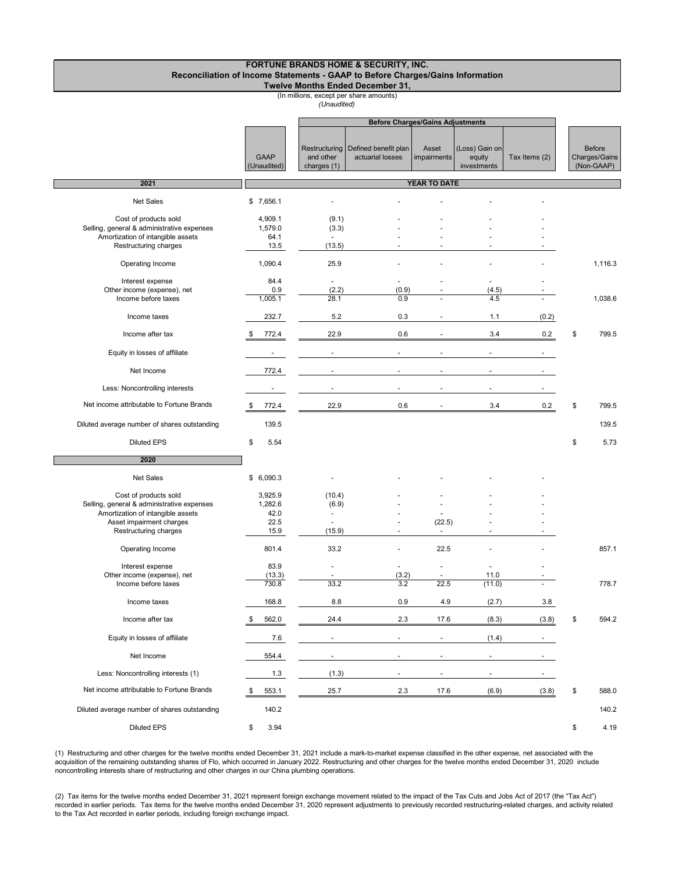#### **FORTUNE BRANDS HOME & SECURITY, INC. Reconciliation of Income Statements - GAAP to Before Charges/Gains Information Twelve Months Ended December 31,**

### (In millions, except per share amounts)

*(Unaudited)*

|                                                                                                                                                               |                                            | <b>Before Charges/Gains Adjustments</b>   |                                          |                          |                                         |                          |                                              |
|---------------------------------------------------------------------------------------------------------------------------------------------------------------|--------------------------------------------|-------------------------------------------|------------------------------------------|--------------------------|-----------------------------------------|--------------------------|----------------------------------------------|
|                                                                                                                                                               | <b>GAAP</b><br>(Unaudited)                 | Restructuring<br>and other<br>charges (1) | Defined benefit plan<br>actuarial losses | Asset<br>impairments     | (Loss) Gain on<br>equity<br>investments | Tax Items (2)            | <b>Before</b><br>Charges/Gains<br>(Non-GAAP) |
| 2021                                                                                                                                                          |                                            |                                           |                                          | <b>YEAR TO DATE</b>      |                                         |                          |                                              |
| Net Sales                                                                                                                                                     | \$7,656.1                                  |                                           |                                          |                          |                                         |                          |                                              |
| Cost of products sold<br>Selling, general & administrative expenses<br>Amortization of intangible assets<br>Restructuring charges                             | 4,909.1<br>1,579.0<br>64.1<br>13.5         | (9.1)<br>(3.3)<br>(13.5)                  |                                          |                          |                                         |                          |                                              |
| Operating Income                                                                                                                                              | 1,090.4                                    | 25.9                                      |                                          |                          |                                         |                          | 1,116.3                                      |
| Interest expense<br>Other income (expense), net<br>Income before taxes                                                                                        | 84.4<br>0.9<br>1,005.1                     | $\blacksquare$<br>(2.2)<br>28.1           | ÷,<br>(0.9)<br>0.9                       |                          | $\blacksquare$<br>(4.5)<br>4.5          |                          | 1,038.6                                      |
| Income taxes                                                                                                                                                  | 232.7                                      | 5.2                                       | 0.3                                      |                          | 1.1                                     | (0.2)                    |                                              |
| Income after tax                                                                                                                                              | 772.4<br>-\$                               | 22.9                                      | 0.6                                      |                          | 3.4                                     | 0.2                      | \$<br>799.5                                  |
| Equity in losses of affiliate                                                                                                                                 | $\overline{\phantom{a}}$                   | $\blacksquare$                            | $\blacksquare$                           |                          | $\blacksquare$                          | $\overline{\phantom{a}}$ |                                              |
| Net Income                                                                                                                                                    | 772.4                                      |                                           |                                          |                          |                                         |                          |                                              |
| Less: Noncontrolling interests                                                                                                                                |                                            |                                           |                                          |                          |                                         |                          |                                              |
| Net income attributable to Fortune Brands                                                                                                                     | 772.4<br>- \$                              | 22.9                                      | 0.6                                      |                          | 3.4                                     | 0.2                      | \$<br>799.5                                  |
| Diluted average number of shares outstanding                                                                                                                  | 139.5                                      |                                           |                                          |                          |                                         |                          | 139.5                                        |
| <b>Diluted EPS</b>                                                                                                                                            | \$<br>5.54                                 |                                           |                                          |                          |                                         |                          | \$<br>5.73                                   |
| 2020                                                                                                                                                          |                                            |                                           |                                          |                          |                                         |                          |                                              |
| Net Sales                                                                                                                                                     | \$6,090.3                                  |                                           |                                          |                          |                                         |                          |                                              |
| Cost of products sold<br>Selling, general & administrative expenses<br>Amortization of intangible assets<br>Asset impairment charges<br>Restructuring charges | 3,925.9<br>1,282.6<br>42.0<br>22.5<br>15.9 | (10.4)<br>(6.9)<br>(15.9)                 | $\overline{\phantom{a}}$                 | (22.5)<br>$\blacksquare$ | $\blacksquare$                          |                          |                                              |
| Operating Income                                                                                                                                              | 801.4                                      | 33.2                                      | ÷                                        | 22.5                     |                                         |                          | 857.1                                        |
| Interest expense<br>Other income (expense), net<br>Income before taxes                                                                                        | 83.9<br>(13.3)<br>730.8                    | 33.2                                      | ä,<br>(3.2)<br>3.2                       | $\overline{a}$<br>22.5   | $\overline{a}$<br>11.0<br>(11.0)        |                          | 778.7                                        |
| Income taxes                                                                                                                                                  | 168.8                                      | 8.8                                       | 0.9                                      | 4.9                      | (2.7)                                   | 3.8                      |                                              |
| Income after tax                                                                                                                                              | 562.0<br>\$                                | 24.4                                      | 2.3                                      | 17.6                     | (8.3)                                   | (3.8)                    | \$<br>594.2                                  |
| Equity in losses of affiliate                                                                                                                                 | 7.6                                        | $\overline{\phantom{a}}$                  | $\overline{\phantom{a}}$                 | $\overline{\phantom{a}}$ | (1.4)                                   | $\overline{\phantom{a}}$ |                                              |
| Net Income                                                                                                                                                    | 554.4                                      | $\blacksquare$                            | $\blacksquare$                           | $\sim$                   | $\blacksquare$                          |                          |                                              |
| Less: Noncontrolling interests (1)                                                                                                                            | 1.3                                        | (1.3)                                     | $\overline{\phantom{a}}$                 | $\blacksquare$           | $\overline{\phantom{a}}$                |                          |                                              |
| Net income attributable to Fortune Brands                                                                                                                     | 553.1<br>- \$                              | 25.7                                      | 2.3                                      | 17.6                     | (6.9)                                   | (3.8)                    | \$<br>588.0                                  |
| Diluted average number of shares outstanding                                                                                                                  | 140.2                                      |                                           |                                          |                          |                                         |                          | 140.2                                        |
| <b>Diluted EPS</b>                                                                                                                                            | 3.94<br>\$                                 |                                           |                                          |                          |                                         |                          | \$<br>4.19                                   |

(1) Restructuring and other charges for the twelve months ended December 31, 2021 include a mark-to-market expense classified in the other expense, net associated with the acquisition of the remaining outstanding shares of Flo, which occurred in January 2022. Restructuring and other charges for the twelve months ended December 31, 2020 include noncontrolling interests share of restructuring and other charges in our China plumbing operations.

(2) Tax items for the twelve months ended December 31, 2021 represent foreign exchange movement related to the impact of the Tax Cuts and Jobs Act of 2017 (the "Tax Act") recorded in earlier periods. Tax items for the twelve months ended December 31, 2020 represent adjustments to previously recorded restructuring-related charges, and activity related to the Tax Act recorded in earlier periods, including foreign exchange impact.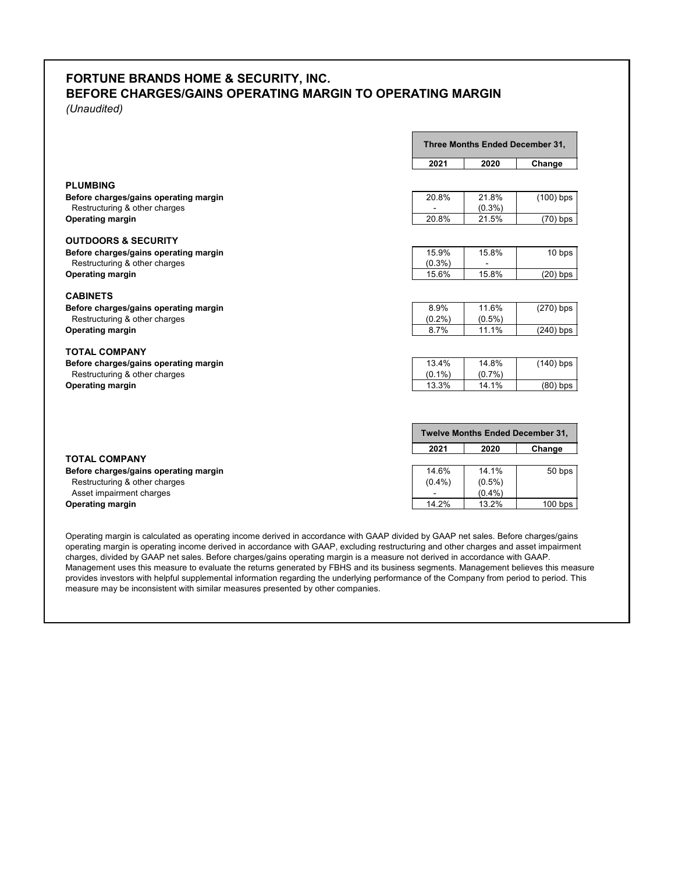# **FORTUNE BRANDS HOME & SECURITY, INC. BEFORE CHARGES/GAINS OPERATING MARGIN TO OPERATING MARGIN**

*(Unaudited)*

|                                       |           | Three Months Ended December 31,  |             |  |
|---------------------------------------|-----------|----------------------------------|-------------|--|
|                                       | 2021      | 2020                             | Change      |  |
| <b>PLUMBING</b>                       |           |                                  |             |  |
| Before charges/gains operating margin | 20.8%     | 21.8%                            | $(100)$ bps |  |
| Restructuring & other charges         |           | $(0.3\%)$                        |             |  |
| <b>Operating margin</b>               | 20.8%     | 21.5%                            | $(70)$ bps  |  |
| <b>OUTDOORS &amp; SECURITY</b>        |           |                                  |             |  |
| Before charges/gains operating margin | 15.9%     | 15.8%                            | 10 bps      |  |
| Restructuring & other charges         | $(0.3\%)$ |                                  |             |  |
| <b>Operating margin</b>               | 15.6%     | 15.8%                            | $(20)$ bps  |  |
| <b>CABINETS</b>                       |           |                                  |             |  |
| Before charges/gains operating margin | 8.9%      | 11.6%                            | $(270)$ bps |  |
| Restructuring & other charges         | $(0.2\%)$ | $(0.5\%)$                        |             |  |
| <b>Operating margin</b>               | 8.7%      | 11.1%                            | $(240)$ bps |  |
| <b>TOTAL COMPANY</b>                  |           |                                  |             |  |
| Before charges/gains operating margin | 13.4%     | 14.8%                            | $(140)$ bps |  |
| Restructuring & other charges         | $(0.1\%)$ | $(0.7\%)$                        |             |  |
| <b>Operating margin</b>               | 13.3%     | 14.1%                            | $(80)$ bps  |  |
|                                       |           | Twelve Months Ended December 31, |             |  |
|                                       | 2021      | 2020                             |             |  |
| <b>TOTAL COMPANY</b>                  |           |                                  | Change      |  |
| Before charges/gains operating margin | 14.6%     | 14.1%                            | 50 bps      |  |
| Restructuring & other charges         | $(0.4\%)$ | $(0.5\%)$                        |             |  |
| Asset impairment charges              |           | (0.4% )                          |             |  |
| <b>Operating margin</b>               | 14.2%     | 13.2%                            | $100$ bps   |  |

Operating margin is calculated as operating income derived in accordance with GAAP divided by GAAP net sales. Before charges/gains operating margin is operating income derived in accordance with GAAP, excluding restructuring and other charges and asset impairment charges, divided by GAAP net sales. Before charges/gains operating margin is a measure not derived in accordance with GAAP. Management uses this measure to evaluate the returns generated by FBHS and its business segments. Management believes this measure provides investors with helpful supplemental information regarding the underlying performance of the Company from period to period. This measure may be inconsistent with similar measures presented by other companies.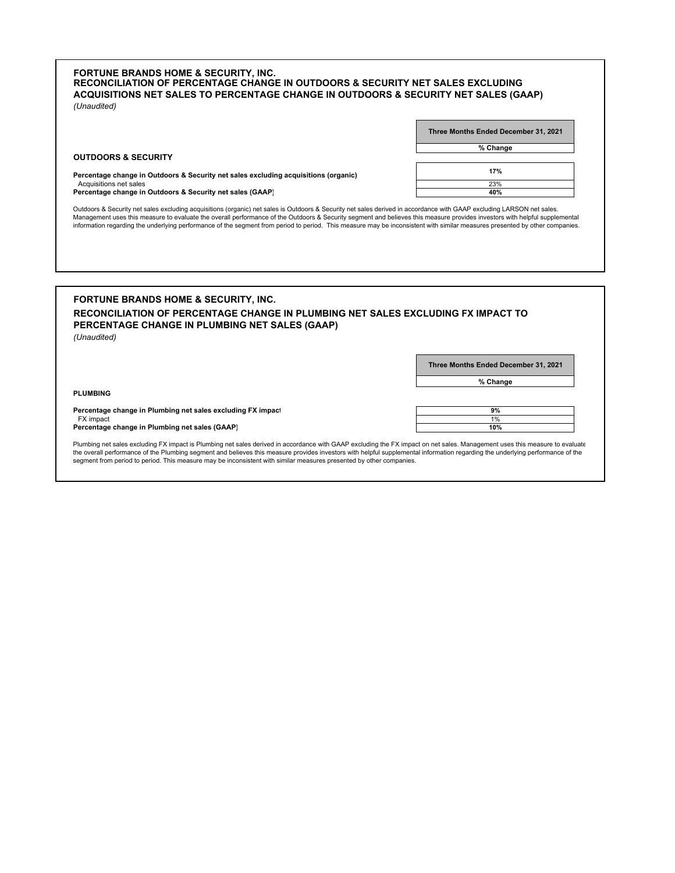### **FORTUNE BRANDS HOME & SECURITY, INC.** *(Unaudited)* **RECONCILIATION OF PERCENTAGE CHANGE IN OUTDOORS & SECURITY NET SALES EXCLUDING ACQUISITIONS NET SALES TO PERCENTAGE CHANGE IN OUTDOORS & SECURITY NET SALES (GAAP)**

| Three Months Ended December 31, 2021 |
|--------------------------------------|
| % Change                             |
|                                      |
| 17%                                  |

Acquisitions net sales 23% **Percentage change in Outdoors & Security net sales excluding acquisitions (organic)**

**Percentage change in Outdoors & Security net sales (GAAP) 40%**

**OUTDOORS & SECURITY**

**PLUMBING**

Outdoors & Security net sales excluding acquisitions (organic) net sales is Outdoors & Security net sales derived in accordance with GAAP excluding LARSON net sales. Management uses this measure to evaluate the overall performance of the Outdoors & Security segment and believes this measure provides investors with helpful supplemental information regarding the underlying performance of the segment from period to period. This measure may be inconsistent with similar measures presented by other companies.

### **FORTUNE BRANDS HOME & SECURITY, INC.** *(Unaudited)* **RECONCILIATION OF PERCENTAGE CHANGE IN PLUMBING NET SALES EXCLUDING FX IMPACT TO PERCENTAGE CHANGE IN PLUMBING NET SALES (GAAP)**

**Three Months Ended December 31, 2021**

**% Change**

**Percentage change in Plumbing net sales excluding FX impact FX impact**  $\begin{array}{ccc} \textsf{FX} \textsf{impact} \end{array}$  . The contraction of the contraction of the contraction of the contraction of the contraction of the contraction of the contraction of the contraction of the contraction of the contraction of th **Percentage change in Plumbing net sales (GAAP)** 

| 9%  |
|-----|
| 1%  |
| 10% |

Plumbing net sales excluding FX impact is Plumbing net sales derived in accordance with GAAP excluding the FX impact on net sales. Management uses this measure to evaluate the overall performance of the Plumbing segment and believes this measure provides investors with helpful supplemental information regarding the underlying performance of the<br>segment from period to period. This measure may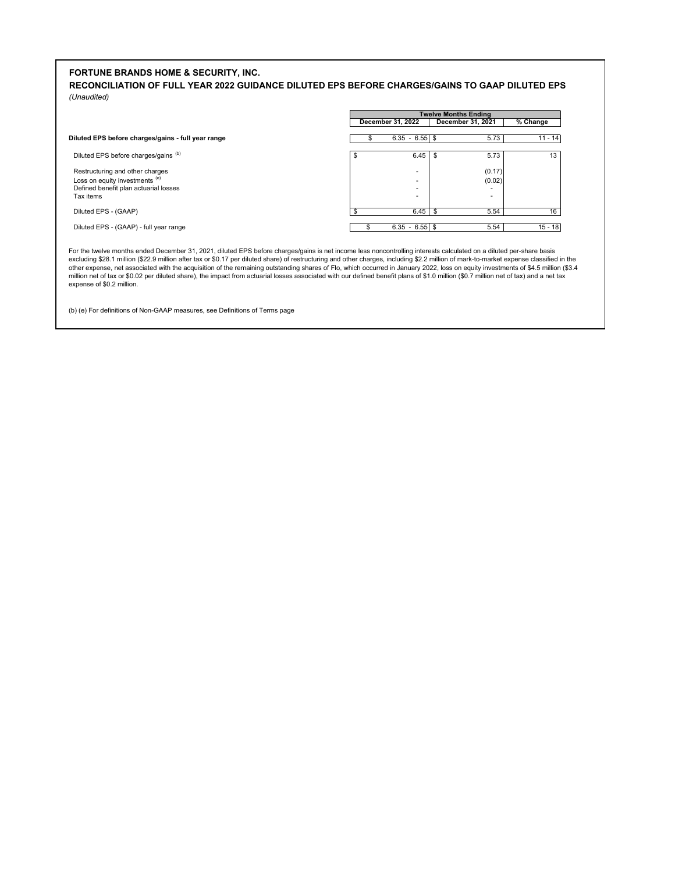### **FORTUNE BRANDS HOME & SECURITY, INC.**

**RECONCILIATION OF FULL YEAR 2022 GUIDANCE DILUTED EPS BEFORE CHARGES/GAINS TO GAAP DILUTED EPS** *(Unaudited)*

|                                                                   |   | <b>Twelve Months Ending</b> |                   |           |  |  |
|-------------------------------------------------------------------|---|-----------------------------|-------------------|-----------|--|--|
|                                                                   |   | December 31, 2022           | December 31, 2021 | % Change  |  |  |
| Diluted EPS before charges/gains - full year range                |   | $6.35 - 6.55$ \$            | 5.73              | $11 - 14$ |  |  |
| Diluted EPS before charges/gains (b)                              | S | 6.45                        | 5.73              | 13        |  |  |
| Restructuring and other charges<br>Loss on equity investments (e) |   | ۰                           | (0.17)<br>(0.02)  |           |  |  |
| Defined benefit plan actuarial losses<br>Tax items                |   | ۰                           |                   |           |  |  |
| Diluted EPS - (GAAP)                                              |   | 6.45                        | 5.54              | 16        |  |  |
| Diluted EPS - (GAAP) - full year range                            |   | $6.35 - 6.55$ \$            | 5.54              | $15 - 18$ |  |  |

For the twelve months ended December 31, 2021, diluted EPS before charges/gains is net income less noncontrolling interests calculated on a diluted per-share basis<br>excluding \$28.1 million (\$22.9 million after tax or \$0.17 million net of tax or \$0.02 per diluted share), the impact from actuarial losses associated with our defined benefit plans of \$1.0 million (\$0.7 million net of tax) and a net tax expense of \$0.2 million.

(b) (e) For definitions of Non-GAAP measures, see Definitions of Terms page